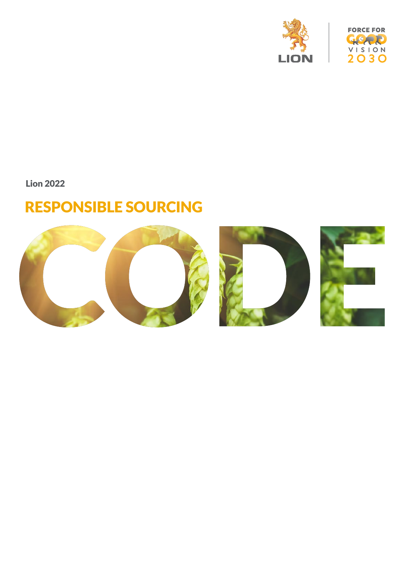



Lion 2022

### RESPONSIBLE SOURCING

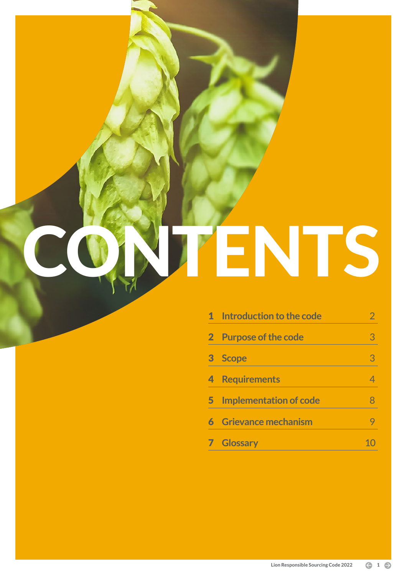# CONTENTS

|          | <b>1</b> Introduction to the code |   |
|----------|-----------------------------------|---|
| $\bf{2}$ | <b>Purpose of the code</b>        |   |
| 3        | <b>Scope</b>                      | 3 |
|          | <b>Requirements</b>               |   |
| 5        | <b>Implementation of code</b>     |   |
|          | <b>Grievance mechanism</b>        |   |
|          | <b>Glossary</b>                   |   |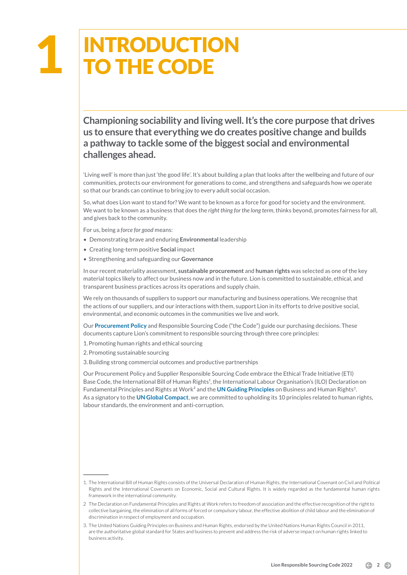### INTRODUCTION TO THE CODE 1

**Championing sociability and living well. It's the core purpose that drives us to ensure that everything we do creates positive change and builds a pathway to tackle some of the biggest social and environmental challenges ahead.**

'Living well' is more than just 'the good life'. It's about building a plan that looks after the wellbeing and future of our communities, protects our environment for generations to come, and strengthens and safeguards how we operate so that our brands can continue to bring joy to every adult social occasion.

So, what does Lion want to stand for? We want to be known as a force for good for society and the environment. We want to be known as a business that does the *right thing for the long term*, thinks beyond, promotes fairness for all, and gives back to the community.

For us, being a *force for good* means:

- Demonstrating brave and enduring **Environmental** leadership
- Creating long-term positive **Social** impact
- Strengthening and safeguarding our **Governance**

In our recent materiality assessment, **sustainable procurement** and **human rights** was selected as one of the key material topics likely to affect our business now and in the future. Lion is committed to sustainable, ethical, and transparent business practices across its operations and supply chain.

We rely on thousands of suppliers to support our manufacturing and business operations. We recognise that the actions of our suppliers, and our interactions with them, support Lion in its efforts to drive positive social, environmental, and economic outcomes in the communities we live and work.

Our **P[rocurement Policy](https://lionco.com/app/uploads/2021/01/Lion-Procurement-Policy_FINAL-2020.pdf)** and Responsible Sourcing Code ("the Code") guide our purchasing decisions. These documents capture Lion's commitment to responsible sourcing through three core principles:

1.Promoting human rights and ethical sourcing

- 2.Promoting sustainable sourcing
- 3.Building strong commercial outcomes and productive partnerships

Our Procurement Policy and Supplier Responsible Sourcing Code embrace the Ethical Trade Initiative (ETI) Base Code, the International Bill of Human Rights<sup>1</sup>, the International Labour Organisation's (ILO) Declaration on Fundamental Principles and Rights at Work² and the **[UN Guiding Principles](https://www.ohchr.org/documents/publications/guidingprinciplesbusinesshr_en.pdf)** on Business and Human Rights3. As a signatory to the **[UN Global Compact](https://www.unglobalcompact.org/what-is-gc/mission/principles)**, we are committed to upholding its 10 principles related to human rights, labour standards, the environment and anti-corruption.

<sup>1.</sup> The International Bill of Human Rights consists of the Universal Declaration of Human Rights, the International Covenant on Civil and Political Rights and the International Covenants on Economic, Social and Cultural Rights. It is widely regarded as the fundamental human rights framework in the international community.

<sup>2</sup> The Declaration on Fundamental Principles and Rights at Work refers to freedom of association and the effective recognition of the right to collective bargaining, the elimination of all forms of forced or compulsory labour, the effective abolition of child labour and the elimination of discrimination in respect of employment and occupation.

<sup>3.</sup> The United Nations Guiding Principles on Business and Human Rights, endorsed by the United Nations Human Rights Council in 2011, are the authoritative global standard for States and business to prevent and address the risk of adverse impact on human rights linked to business activity.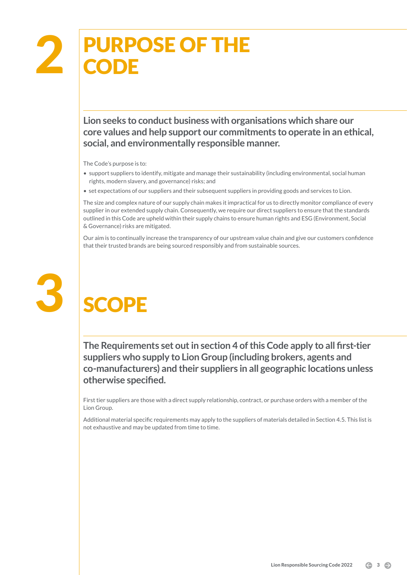**Lion seeks to conduct business with organisations which share our core values and help support our commitments to operate in an ethical, social, and environmentally responsible manner.**

The Code's purpose is to:

- support suppliers to identify, mitigate and manage their sustainability (including environmental, social human rights, modern slavery, and governance) risks; and
- set expectations of our suppliers and their subsequent suppliers in providing goods and services to Lion.

The size and complex nature of our supply chain makes it impractical for us to directly monitor compliance of every supplier in our extended supply chain. Consequently, we require our direct suppliers to ensure that the standards outlined in this Code are upheld within their supply chains to ensure human rights and ESG (Environment, Social & Governance) risks are mitigated.

Our aim is to continually increase the transparency of our upstream value chain and give our customers confidence that their trusted brands are being sourced responsibly and from sustainable sources.



## **SCOPE**

**The Requirements set out in section 4 of this Code apply to all first-tier suppliers who supply to Lion Group (including brokers, agents and co-manufacturers) and their suppliers in all geographic locations unless otherwise specified.** 

First tier suppliers are those with a direct supply relationship, contract, or purchase orders with a member of the Lion Group.

Additional material specific requirements may apply to the suppliers of materials detailed in Section 4.5. This list is not exhaustive and may be updated from time to time.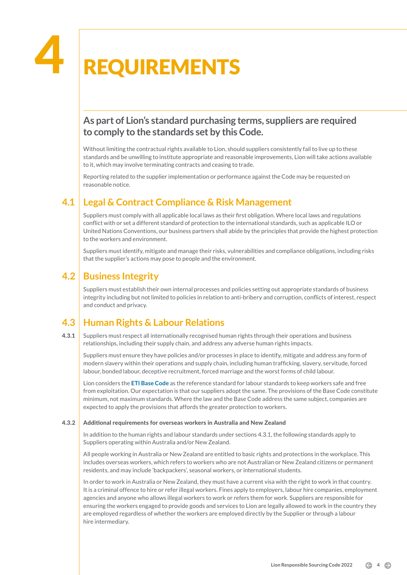## **REQUIREMENTS**

#### **As part of Lion's standard purchasing terms, suppliers are required to comply to the standards set by this Code.**

Without limiting the contractual rights available to Lion, should suppliers consistently fail to live up to these standards and be unwilling to institute appropriate and reasonable improvements, Lion will take actions available to it, which may involve terminating contracts and ceasing to trade.

Reporting related to the supplier implementation or performance against the Code may be requested on reasonable notice.

#### **4.1 Legal & Contract Compliance & Risk Management**

Suppliers must comply with all applicable local laws as their first obligation. Where local laws and regulations conflict with or set a different standard of protection to the international standards, such as applicable ILO or United Nations Conventions, our business partners shall abide by the principles that provide the highest protection to the workers and environment.

Suppliers must identify, mitigate and manage their risks, vulnerabilities and compliance obligations, including risks that the supplier's actions may pose to people and the environment.

#### **4.2 Business Integrity**

Suppliers must establish their own internal processes and policies setting out appropriate standards of business integrity including but not limited to policies in relation to anti-bribery and corruption, conflicts of interest, respect and conduct and privacy.

#### **4.3 Human Rights & Labour Relations**

4.3.1 Suppliers must respect all internationally recognised human rights through their operations and business relationships, including their supply chain, and address any adverse human rights impacts.

Suppliers must ensure they have policies and/or processes in place to identify, mitigate and address any form of modern slavery within their operations and supply chain, including human trafficking, slavery, servitude, forced labour, bonded labour, deceptive recruitment, forced marriage and the worst forms of child labour.

Lion considers the **[ETI Base Code](https://www.ethicaltrade.org/eti-base-code)** as the reference standard for labour standards to keep workers safe and free from exploitation. Our expectation is that our suppliers adopt the same. The provisions of the Base Code constitute minimum, not maximum standards. Where the law and the Base Code address the same subject, companies are expected to apply the provisions that affords the greater protection to workers.

#### 4.3.2 Additional requirements for overseas workers in Australia and New Zealand

In addition to the human rights and labour standards under sections 4.3.1, the following standards apply to Suppliers operating within Australia and/or New Zealand.

All people working in Australia or New Zealand are entitled to basic rights and protections in the workplace. This includes overseas workers, which refers to workers who are not Australian or New Zealand citizens or permanent residents, and may include 'backpackers', seasonal workers, or international students.

In order to work in Australia or New Zealand, they must have a current visa with the right to work in that country. It is a criminal offence to hire or refer illegal workers. Fines apply to employers, labour hire companies, employment agencies and anyone who allows illegal workers to work or refers them for work. Suppliers are responsible for ensuring the workers engaged to provide goods and services to Lion are legally allowed to work in the country they are employed regardless of whether the workers are employed directly by the Supplier or through a labour hire intermediary.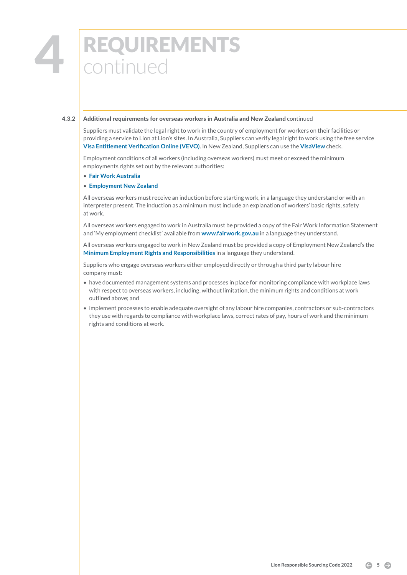## **4 REQUIREMENTS**<br>Continued continued

#### 4.3.2 Additional requirements for overseas workers in Australia and New Zealand continued

Suppliers must validate the legal right to work in the country of employment for workers on their facilities or providing a service to Lion at Lion's sites. In Australia, Suppliers can verify legal right to work using the free service **[Visa Entitlement Verification Online \(VEVO\)](https://www.homeaffairs.gov.au/busi/visas-and-migration/visa-entitlement-verification-online-(vevo))**. In New Zealand, Suppliers can use the **[VisaView](https://www.immigration.govt.nz/about-us/our-online-systems/visaview/)** check.

Employment conditions of all workers (including overseas workers) must meet or exceed the minimum employments rights set out by the relevant authorities:

#### • **[Fair Work Australia](http://www.fairwork.gov.au)**

#### • **[Employment New Zealand](http://www.employment.govt.nz/)**

All overseas workers must receive an induction before starting work, in a language they understand or with an interpreter present. The induction as a minimum must include an explanation of workers' basic rights, safety at work.

All overseas workers engaged to work in Australia must be provided a copy of the Fair Work Information Statement and 'My employment checklist' available from **[www.fairwork.gov.au](http://www.fairwork.gov.au)** in a language they understand.

All overseas workers engaged to work in New Zealand must be provided a copy of Employment New Zealand's the **[Minimum Employment Rights and Responsibilities](https://www.employment.govt.nz/assets/Uploads/tools-and-resources/publications/minimum-employment-rights-responsibilities.pdf)** in a language they understand.

Suppliers who engage overseas workers either employed directly or through a third party labour hire company must:

- have documented management systems and processes in place for monitoring compliance with workplace laws with respect to overseas workers, including, without limitation, the minimum rights and conditions at work outlined above; and
- implement processes to enable adequate oversight of any labour hire companies, contractors or sub-contractors they use with regards to compliance with workplace laws, correct rates of pay, hours of work and the minimum rights and conditions at work.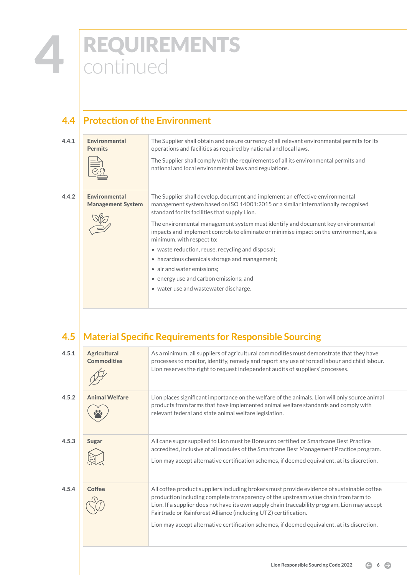## **4 REQUIREMENTS**<br>Continued continued

#### **4.4 Protection of the Environment**

| 4.4.1 | <b>Environmental</b><br><b>Permits</b>           | The Supplier shall obtain and ensure currency of all relevant environmental permits for its<br>operations and facilities as required by national and local laws.                                                    |
|-------|--------------------------------------------------|---------------------------------------------------------------------------------------------------------------------------------------------------------------------------------------------------------------------|
|       |                                                  | The Supplier shall comply with the requirements of all its environmental permits and<br>national and local environmental laws and regulations.                                                                      |
| 4.4.2 | <b>Environmental</b><br><b>Management System</b> | The Supplier shall develop, document and implement an effective environmental<br>management system based on ISO 14001:2015 or a similar internationally recognised<br>standard for its facilities that supply Lion. |
|       |                                                  | The environmental management system must identify and document key environmental<br>impacts and implement controls to eliminate or minimise impact on the environment, as a<br>minimum, with respect to:            |
|       |                                                  | • waste reduction, reuse, recycling and disposal;                                                                                                                                                                   |
|       |                                                  | • hazardous chemicals storage and management;                                                                                                                                                                       |
|       |                                                  | • air and water emissions;                                                                                                                                                                                          |
|       |                                                  | • energy use and carbon emissions; and                                                                                                                                                                              |
|       |                                                  | • water use and wastewater discharge.                                                                                                                                                                               |
|       |                                                  |                                                                                                                                                                                                                     |

#### **4.5 Material Specific Requirements for Responsible Sourcing**

| <b>Agricultural</b><br><b>Commodities</b> | As a minimum, all suppliers of agricultural commodities must demonstrate that they have<br>processes to monitor, identify, remedy and report any use of forced labour and child labour.                                                                                                                                                                                                                                                             |
|-------------------------------------------|-----------------------------------------------------------------------------------------------------------------------------------------------------------------------------------------------------------------------------------------------------------------------------------------------------------------------------------------------------------------------------------------------------------------------------------------------------|
|                                           | Lion reserves the right to request independent audits of suppliers' processes.                                                                                                                                                                                                                                                                                                                                                                      |
| <b>Animal Welfare</b>                     | Lion places significant importance on the welfare of the animals. Lion will only source animal<br>products from farms that have implemented animal welfare standards and comply with<br>relevant federal and state animal welfare legislation.                                                                                                                                                                                                      |
| <b>Sugar</b>                              | All cane sugar supplied to Lion must be Bonsucro certified or Smartcane Best Practice<br>accredited, inclusive of all modules of the Smartcane Best Management Practice program.<br>Lion may accept alternative certification schemes, if deemed equivalent, at its discretion.                                                                                                                                                                     |
| <b>Coffee</b>                             | All coffee product suppliers including brokers must provide evidence of sustainable coffee<br>production including complete transparency of the upstream value chain from farm to<br>Lion. If a supplier does not have its own supply chain traceability program, Lion may accept<br>Fairtrade or Rainforest Alliance (including UTZ) certification.<br>Lion may accept alternative certification schemes, if deemed equivalent, at its discretion. |
|                                           |                                                                                                                                                                                                                                                                                                                                                                                                                                                     |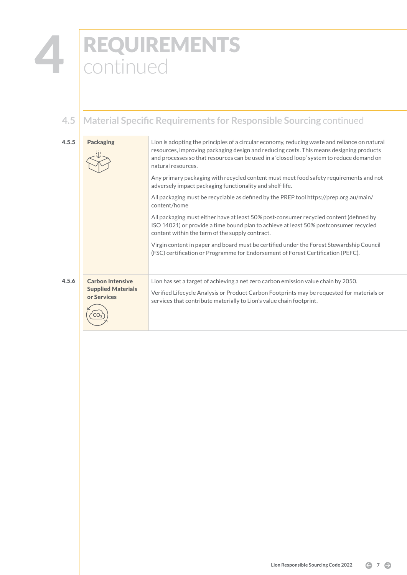### REQUIREMENTS continued 4

#### **4.5 Material Specific Requirements for Responsible Sourcing** continued

4.5.5 **Packaging Lion is adopting the principles of a circular economy, reducing waste and reliance on natural** resources, improving packaging design and reducing costs. This means designing products and processes so that resources can be used in a 'closed loop' system to reduce demand on natural resources. Any primary packaging with recycled content must meet food safety requirements and not adversely impact packaging functionality and shelf-life. All packaging must be recyclable as defined by the PREP tool https://prep.org.au/main/ content/home All packaging must either have at least 50% post-consumer recycled content (defined by ISO 14021) or provide a time bound plan to achieve at least 50% postconsumer recycled content within the term of the supply contract. Virgin content in paper and board must be certified under the Forest Stewardship Council (FSC) certification or Programme for Endorsement of Forest Certification (PEFC). 4.5.6 Carbon Intensive Lion has set a target of achieving a net zero carbon emission value chain by 2050. Supplied Materials Verified Lifecycle Analysis or Product Carbon Footprints may be requested for materials or or Services services that contribute materially to Lion's value chain footprint. ʻco<sub>ʻ</sub>

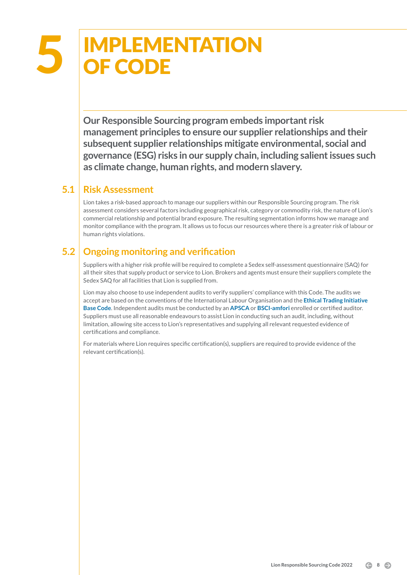## **IMPLEMENTATION<br>OF CODE**

**Our Responsible Sourcing program embeds important risk management principles to ensure our supplier relationships and their subsequent supplier relationships mitigate environmental, social and governance (ESG) risks in our supply chain, including salient issues such as climate change, human rights, and modern slavery.** 

#### **5.1 Risk Assessment**

Lion takes a risk-based approach to manage our suppliers within our Responsible Sourcing program. The risk assessment considers several factors including geographical risk, category or commodity risk, the nature of Lion's commercial relationship and potential brand exposure. The resulting segmentation informs how we manage and monitor compliance with the program. It allows us to focus our resources where there is a greater risk of labour or human rights violations.

#### **5.2 Ongoing monitoring and verification**

Suppliers with a higher risk profile will be required to complete a Sedex self-assessment questionnaire (SAQ) for all their sites that supply product or service to Lion. Brokers and agents must ensure their suppliers complete the Sedex SAQ for all facilities that Lion is supplied from.

Lion may also choose to use independent audits to verify suppliers' compliance with this Code. The audits we accept are based on the conventions of the International Labour Organisation and the **[Ethical Trading Initiative](https://www.ethicaltrade.org/sites/default/files/shared_resources/ETI%20Base%20Code%20%28English%29_0.pdf)  [Base Code](https://www.ethicaltrade.org/sites/default/files/shared_resources/ETI%20Base%20Code%20%28English%29_0.pdf)**. Independent audits must be conducted by an **[APSCA](https://www.theapsca.org/)** or **[BSCI-amfori](https://www.amfori.org/content/amfori-bsci)** enrolled or certified auditor. Suppliers must use all reasonable endeavours to assist Lion in conducting such an audit, including, without limitation, allowing site access to Lion's representatives and supplying all relevant requested evidence of certifications and compliance.

For materials where Lion requires specific certification(s), suppliers are required to provide evidence of the relevant certification(s).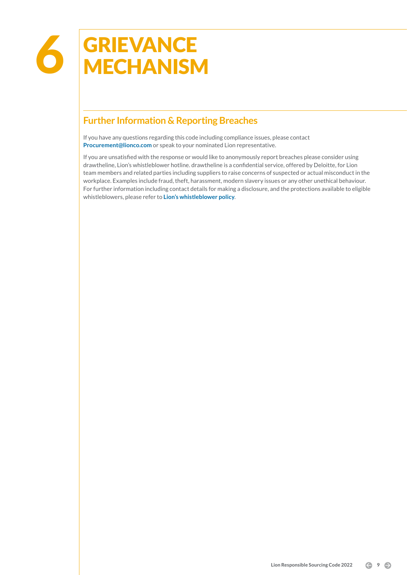#### **Further Information & Reporting Breaches**

If you have any questions regarding this code including compliance issues, please contact **[Procurement@lionco.com](mailto:Procurement@lionco.com)** or speak to your nominated Lion representative.

If you are unsatisfied with the response or would like to anonymously report breaches please consider using drawtheline, Lion's whistleblower hotline. drawtheline is a confidential service, offered by Deloitte, for Lion team members and related parties including suppliers to raise concerns of suspected or actual misconduct in the workplace. Examples include fraud, theft, harassment, modern slavery issues or any other unethical behaviour. For further information including contact details for making a disclosure, and the protections available to eligible whistleblowers, please refer to **[Lion's whistleblower policy](https://lionco.com/1-09-whistleblower-policy/)**.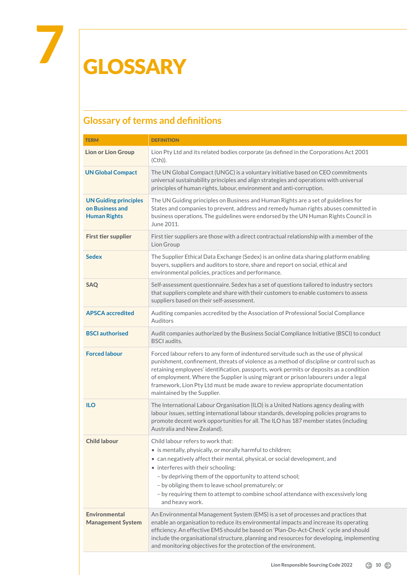## 7 GLOSSARY

#### **Glossary of terms and definitions**

| <b>TERM</b>                                                            | <b>DEFINITION</b>                                                                                                                                                                                                                                                                                                                                                                                                                                                                     |
|------------------------------------------------------------------------|---------------------------------------------------------------------------------------------------------------------------------------------------------------------------------------------------------------------------------------------------------------------------------------------------------------------------------------------------------------------------------------------------------------------------------------------------------------------------------------|
| <b>Lion or Lion Group</b>                                              | Lion Pty Ltd and its related bodies corporate (as defined in the Corporations Act 2001<br>$(Cth)$ ).                                                                                                                                                                                                                                                                                                                                                                                  |
| <b>UN Global Compact</b>                                               | The UN Global Compact (UNGC) is a voluntary initiative based on CEO commitments<br>universal sustainability principles and align strategies and operations with universal<br>principles of human rights, labour, environment and anti-corruption.                                                                                                                                                                                                                                     |
| <b>UN Guiding principles</b><br>on Business and<br><b>Human Rights</b> | The UN Guiding principles on Business and Human Rights are a set of guidelines for<br>States and companies to prevent, address and remedy human rights abuses committed in<br>business operations. The guidelines were endorsed by the UN Human Rights Council in<br>June 2011.                                                                                                                                                                                                       |
| <b>First tier supplier</b>                                             | First tier suppliers are those with a direct contractual relationship with a member of the<br>Lion Group                                                                                                                                                                                                                                                                                                                                                                              |
| <b>Sedex</b>                                                           | The Supplier Ethical Data Exchange (Sedex) is an online data sharing platform enabling<br>buyers, suppliers and auditors to store, share and report on social, ethical and<br>environmental policies, practices and performance.                                                                                                                                                                                                                                                      |
| <b>SAQ</b>                                                             | Self-assessment questionnaire. Sedex has a set of questions tailored to industry sectors<br>that suppliers complete and share with their customers to enable customers to assess<br>suppliers based on their self-assessment.                                                                                                                                                                                                                                                         |
| <b>APSCA</b> accredited                                                | Auditing companies accredited by the Association of Professional Social Compliance<br>Auditors                                                                                                                                                                                                                                                                                                                                                                                        |
| <b>BSCI</b> authorised                                                 | Audit companies authorized by the Business Social Compliance Initiative (BSCI) to conduct<br><b>BSCI</b> audits.                                                                                                                                                                                                                                                                                                                                                                      |
| <b>Forced labour</b>                                                   | Forced labour refers to any form of indentured servitude such as the use of physical<br>punishment, confinement, threats of violence as a method of discipline or control such as<br>retaining employees' identification, passports, work permits or deposits as a condition<br>of employment. Where the Supplier is using migrant or prison labourers under a legal<br>framework, Lion Pty Ltd must be made aware to review appropriate documentation<br>maintained by the Supplier. |
| <b>ILO</b>                                                             | The International Labour Organisation (ILO) is a United Nations agency dealing with<br>labour issues, setting international labour standards, developing policies programs to<br>promote decent work opportunities for all. The ILO has 187 member states (including<br>Australia and New Zealand).                                                                                                                                                                                   |
| <b>Child labour</b>                                                    | Child labour refers to work that:<br>• is mentally, physically, or morally harmful to children;<br>• can negatively affect their mental, physical, or social development, and<br>• interferes with their schooling:<br>- by depriving them of the opportunity to attend school;<br>- by obliging them to leave school prematurely; or<br>- by requiring them to attempt to combine school attendance with excessively long<br>and heavy work.                                         |
| <b>Environmental</b><br><b>Management System</b>                       | An Environmental Management System (EMS) is a set of processes and practices that<br>enable an organisation to reduce its environmental impacts and increase its operating<br>efficiency. An effective EMS should be based on 'Plan-Do-Act-Check' cycle and should<br>include the organisational structure, planning and resources for developing, implementing<br>and monitoring objectives for the protection of the environment.                                                   |